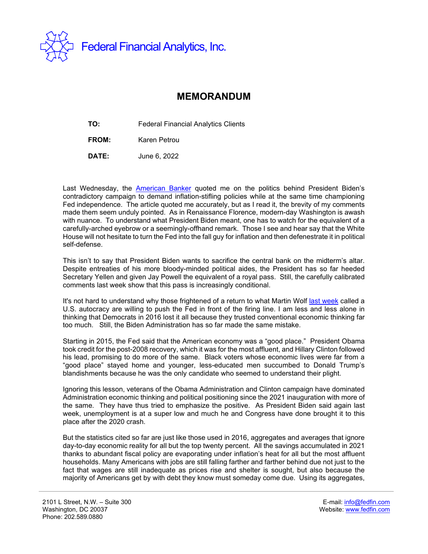

## **MEMORANDUM**

**TO:** Federal Financial Analytics Clients

**FROM:** Karen Petrou

**DATE:** June 6, 2022

Last Wednesday, the [American Banker](https://www.americanbanker.com/news/politics-at-play-behind-bidens-fed-blessing) quoted me on the politics behind President Biden's contradictory campaign to demand inflation-stifling policies while at the same time championing Fed independence. The article quoted me accurately, but as I read it, the brevity of my comments made them seem unduly pointed. As in Renaissance Florence, modern-day Washington is awash with nuance. To understand what President Biden meant, one has to watch for the equivalent of a carefully-arched eyebrow or a seemingly-offhand remark. Those I see and hear say that the White House will not hesitate to turn the Fed into the fall guy for inflation and then defenestrate it in political self-defense.

This isn't to say that President Biden wants to sacrifice the central bank on the midterm's altar. Despite entreaties of his more bloody-minded political aides, the President has so far heeded Secretary Yellen and given Jay Powell the equivalent of a royal pass. Still, the carefully calibrated comments last week show that this pass is increasingly conditional.

It's not hard to understand why those frightened of a return to what Martin Wolf [last week](https://www.ft.com/content/517fbdac-507a-4e55-97fd-55375c1fe1f1) called a U.S. autocracy are willing to push the Fed in front of the firing line. I am less and less alone in thinking that Democrats in 2016 lost it all because they trusted conventional economic thinking far too much. Still, the Biden Administration has so far made the same mistake.

Starting in 2015, the Fed said that the American economy was a "good place." President Obama took credit for the post-2008 recovery, which it was for the most affluent, and Hillary Clinton followed his lead, promising to do more of the same. Black voters whose economic lives were far from a "good place" stayed home and younger, less-educated men succumbed to Donald Trump's blandishments because he was the only candidate who seemed to understand their plight.

Ignoring this lesson, veterans of the Obama Administration and Clinton campaign have dominated Administration economic thinking and political positioning since the 2021 inauguration with more of the same. They have thus tried to emphasize the positive. As President Biden said again last week, unemployment is at a super low and much he and Congress have done brought it to this place after the 2020 crash.

But the statistics cited so far are just like those used in 2016, aggregates and averages that ignore day-to-day economic reality for all but the top twenty percent. All the savings accumulated in 2021 thanks to abundant fiscal policy are evaporating under inflation's heat for all but the most affluent households. Many Americans with jobs are still falling farther and farther behind due not just to the fact that wages are still inadequate as prices rise and shelter is sought, but also because the majority of Americans get by with debt they know must someday come due. Using its aggregates,